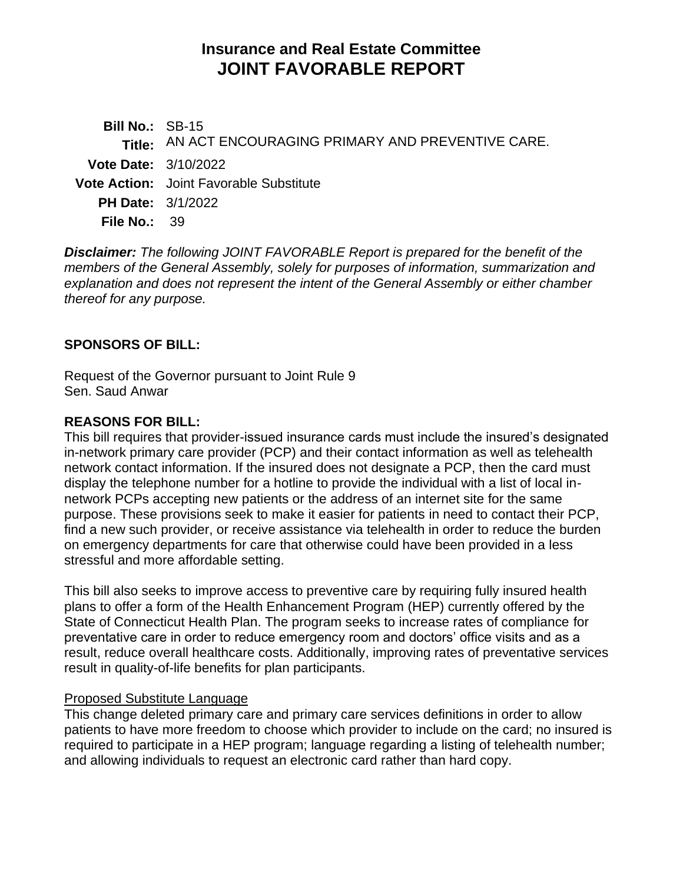# **Insurance and Real Estate Committee JOINT FAVORABLE REPORT**

**Bill No.:** SB-15 **Title:** AN ACT ENCOURAGING PRIMARY AND PREVENTIVE CARE. **Vote Date:** 3/10/2022 **Vote Action:** Joint Favorable Substitute **PH Date:** 3/1/2022 **File No.:** 39

*Disclaimer: The following JOINT FAVORABLE Report is prepared for the benefit of the members of the General Assembly, solely for purposes of information, summarization and explanation and does not represent the intent of the General Assembly or either chamber thereof for any purpose.*

### **SPONSORS OF BILL:**

Request of the Governor pursuant to Joint Rule 9 Sen. Saud Anwar

#### **REASONS FOR BILL:**

This bill requires that provider-issued insurance cards must include the insured's designated in-network primary care provider (PCP) and their contact information as well as telehealth network contact information. If the insured does not designate a PCP, then the card must display the telephone number for a hotline to provide the individual with a list of local innetwork PCPs accepting new patients or the address of an internet site for the same purpose. These provisions seek to make it easier for patients in need to contact their PCP, find a new such provider, or receive assistance via telehealth in order to reduce the burden on emergency departments for care that otherwise could have been provided in a less stressful and more affordable setting.

This bill also seeks to improve access to preventive care by requiring fully insured health plans to offer a form of the Health Enhancement Program (HEP) currently offered by the State of Connecticut Health Plan. The program seeks to increase rates of compliance for preventative care in order to reduce emergency room and doctors' office visits and as a result, reduce overall healthcare costs. Additionally, improving rates of preventative services result in quality-of-life benefits for plan participants.

#### Proposed Substitute Language

This change deleted primary care and primary care services definitions in order to allow patients to have more freedom to choose which provider to include on the card; no insured is required to participate in a HEP program; language regarding a listing of telehealth number; and allowing individuals to request an electronic card rather than hard copy.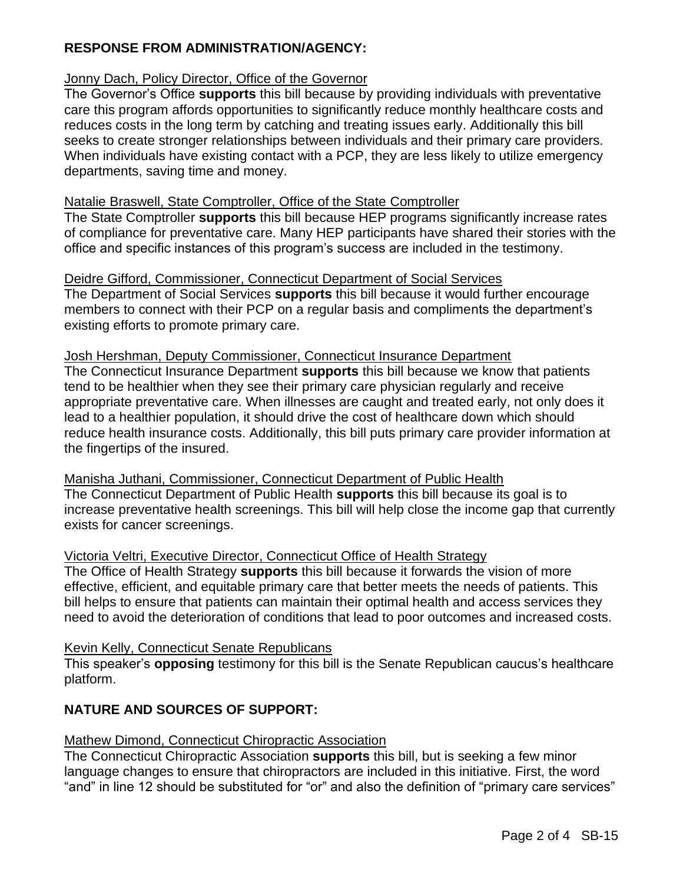## **RESPONSE FROM ADMINISTRATION/AGENCY:**

## Jonny Dach, Policy Director, Office of the Governor

The Governor's Office **supports** this bill because by providing individuals with preventative care this program affords opportunities to significantly reduce monthly healthcare costs and reduces costs in the long term by catching and treating issues early. Additionally this bill seeks to create stronger relationships between individuals and their primary care providers. When individuals have existing contact with a PCP, they are less likely to utilize emergency departments, saving time and money.

#### Natalie Braswell, State Comptroller, Office of the State Comptroller

The State Comptroller **supports** this bill because HEP programs significantly increase rates of compliance for preventative care. Many HEP participants have shared their stories with the office and specific instances of this program's success are included in the testimony.

#### Deidre Gifford, Commissioner, Connecticut Department of Social Services

The Department of Social Services **supports** this bill because it would further encourage members to connect with their PCP on a regular basis and compliments the department's existing efforts to promote primary care.

#### Josh Hershman, Deputy Commissioner, Connecticut Insurance Department

The Connecticut Insurance Department **supports** this bill because we know that patients tend to be healthier when they see their primary care physician regularly and receive appropriate preventative care. When illnesses are caught and treated early, not only does it lead to a healthier population, it should drive the cost of healthcare down which should reduce health insurance costs. Additionally, this bill puts primary care provider information at the fingertips of the insured.

Manisha Juthani, Commissioner, Connecticut Department of Public Health The Connecticut Department of Public Health **supports** this bill because its goal is to increase preventative health screenings. This bill will help close the income gap that currently exists for cancer screenings.

#### Victoria Veltri, Executive Director, Connecticut Office of Health Strategy

The Office of Health Strategy **supports** this bill because it forwards the vision of more effective, efficient, and equitable primary care that better meets the needs of patients. This bill helps to ensure that patients can maintain their optimal health and access services they need to avoid the deterioration of conditions that lead to poor outcomes and increased costs.

#### Kevin Kelly, Connecticut Senate Republicans

This speaker's **opposing** testimony for this bill is the Senate Republican caucus's healthcare platform.

## **NATURE AND SOURCES OF SUPPORT:**

#### Mathew Dimond, Connecticut Chiropractic Association

The Connecticut Chiropractic Association **supports** this bill, but is seeking a few minor language changes to ensure that chiropractors are included in this initiative. First, the word "and" in line 12 should be substituted for "or" and also the definition of "primary care services"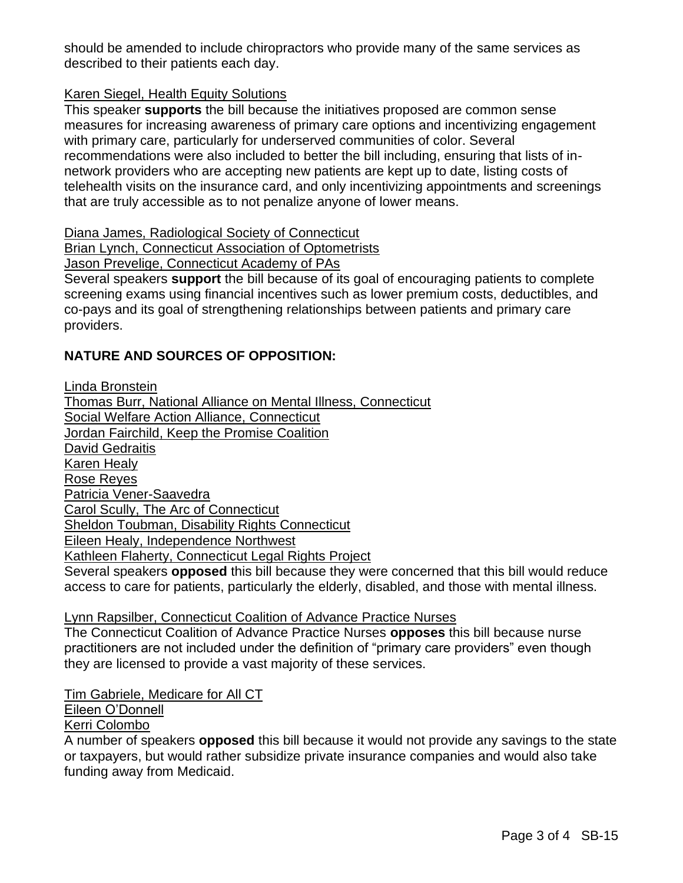should be amended to include chiropractors who provide many of the same services as described to their patients each day.

### Karen Siegel, Health Equity Solutions

This speaker **supports** the bill because the initiatives proposed are common sense measures for increasing awareness of primary care options and incentivizing engagement with primary care, particularly for underserved communities of color. Several recommendations were also included to better the bill including, ensuring that lists of innetwork providers who are accepting new patients are kept up to date, listing costs of telehealth visits on the insurance card, and only incentivizing appointments and screenings that are truly accessible as to not penalize anyone of lower means.

Diana James, Radiological Society of Connecticut

Brian Lynch, Connecticut Association of Optometrists

Jason Prevelige, Connecticut Academy of PAs

Several speakers **support** the bill because of its goal of encouraging patients to complete screening exams using financial incentives such as lower premium costs, deductibles, and co-pays and its goal of strengthening relationships between patients and primary care providers.

## **NATURE AND SOURCES OF OPPOSITION:**

Linda Bronstein Thomas Burr, National Alliance on Mental Illness, Connecticut Social Welfare Action Alliance, Connecticut Jordan Fairchild, Keep the Promise Coalition David Gedraitis Karen Healy Rose Reyes Patricia Vener-Saavedra Carol Scully, The Arc of Connecticut Sheldon Toubman, Disability Rights Connecticut Eileen Healy, Independence Northwest Kathleen Flaherty, Connecticut Legal Rights Project Several speakers **opposed** this bill because they were concerned that this bill would reduce access to care for patients, particularly the elderly, disabled, and those with mental illness.

Lynn Rapsilber, Connecticut Coalition of Advance Practice Nurses

The Connecticut Coalition of Advance Practice Nurses **opposes** this bill because nurse practitioners are not included under the definition of "primary care providers" even though they are licensed to provide a vast majority of these services.

Tim Gabriele, Medicare for All CT

Eileen O'Donnell

Kerri Colombo

A number of speakers **opposed** this bill because it would not provide any savings to the state or taxpayers, but would rather subsidize private insurance companies and would also take funding away from Medicaid.